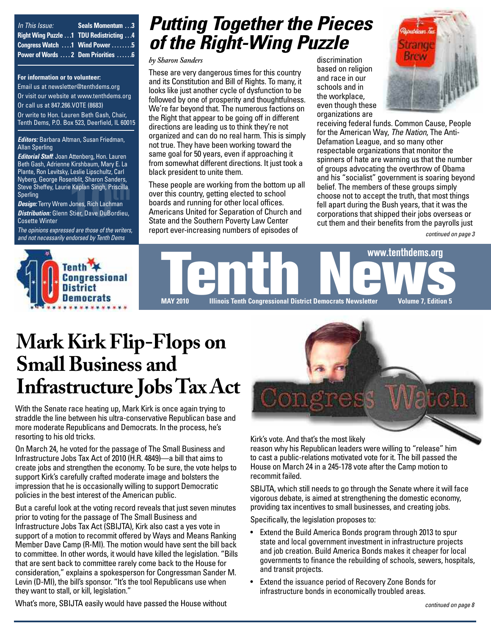| In This Issue:                            | Seals Momentum 3 |
|-------------------------------------------|------------------|
| Right Wing Puzzle  1 TDU Redistricting  4 |                  |
| Congress Watch 1 Wind Power 5             |                  |
| Power of Words  2 Dem Priorities  6       |                  |

#### **For information or to volunteer:**

Email us at [newsletter@tenthdems.org](mailto:newsletter@tenthdems.org) Or visit our website at [www.tenthdems.org](http://www.tenthdems.org) Or call us at 847.266.VOTE (8683) Or write to Hon. Lauren Beth Gash, Chair,

Tenth Dems, P.O. Box 523, Deerfield, IL 60015

*Editors:* Barbara Altman, Susan Friedman, Allan Sperling

**the Sheffey, Laurie Kaplan Singh, Priscilla**<br>Steve Sheffey, Laurie Kaplan Singh, Priscilla<br>Sperling<br>*Desinn*: Terry Wrem, Jones, Bich Lachman *Editorial Staff*: Joan Attenberg, Hon. Lauren Beth Gash, Adrienne Kirshbaum, Mary E. La Plante, Ron Levitsky, Leslie Lipschultz, Carl Nyberg, George Rosenblit, Sharon Sanders, **Sperling** 

*Design:* Terry Wrem Jones, Rich Lachman *Distribution:* Glenn Stier, Dave DuBordieu, Cosette Winter

*The opinions expressed are those of the writers, and not necessarily endorsed by Tenth Dems*

Tenth

**Congressional** 

### *Putting Together the Pieces of the Right-Wing Puzzle*

#### *by Sharon Sanders*

These are very dangerous times for this country and its Constitution and Bill of Rights. To many, it looks like just another cycle of dysfunction to be followed by one of prosperity and thoughtfulness. We're far beyond that. The numerous factions on the Right that appear to be going off in different directions are leading us to think they're not organized and can do no real harm. This is simply not true. They have been working toward the same goal for 50 years, even if approaching it from somewhat different directions. It just took a black president to unite them.

These people are working from the bottom up all over this country, getting elected to school boards and running for other local offices. Americans United for Separation of Church and State and the Southern Poverty Law Center report ever-increasing numbers of episodes of

discrimination based on religion and race in our schools and in the workplace, even though these organizations are



receiving federal funds. Common Cause, People for the American Way, *The Nation*, The Anti-Defamation League, and so many other respectable organizations that monitor the spinners of hate are warning us that the number of groups advocating the overthrow of Obama and his "socialist" government is soaring beyond belief. The members of these groups simply choose not to accept the truth, that most things fell apart during the Bush years, that it was the Explan Singh, Priscilla (Kaplan Singh, Priscilla (Kaplan Singh, Priscilla (These people are working from the bottom up all belief. The members of these groups simply<br>
Jones, Rich Lachman boards and running for other local cut them and their benefits from the payrolls just

*continued on page 3*



# **Mark Kirk Flip-Flops on Small Business and Infrastructure Jobs Tax Act**

With the Senate race heating up, Mark Kirk is once again trying to straddle the line between his ultra-conservative Republican base and more moderate Republicans and Democrats. In the process, he's resorting to his old tricks.

On March 24, he voted for the passage of The Small Business and Infrastructure Jobs Tax Act of 2010 (H.R. 4849)—a bill that aims to create jobs and strengthen the economy. To be sure, the vote helps to support Kirk's carefully crafted moderate image and bolsters the impression that he is occasionally willing to support Democratic policies in the best interest of the American public.

But a careful look at the voting record reveals that just seven minutes prior to voting for the passage of The Small Business and Infrastructure Jobs Tax Act (SBIJTA), Kirk also cast a yes vote in support of a motion to recommit offered by Ways and Means Ranking Member Dave Camp (R-MI). The motion would have sent the bill back to committee. In other words, it would have killed the legislation. "Bills that are sent back to committee rarely come back to the House for consideration," explains a spokesperson for Congressman Sander M. Levin (D-MI), the bill's sponsor. "It's the tool Republicans use when they want to stall, or kill, legislation."

What's more, SBIJTA easily would have passed the House without



Kirk's vote. And that's the most likely

reason why his Republican leaders were willing to "release" him to cast a public-relations motivated vote for it. The bill passed the House on March 24 in a 245-178 vote after the Camp motion to recommit failed.

SBIJTA, which still needs to go through the Senate where it will face vigorous debate, is aimed at strengthening the domestic economy, providing tax incentives to small businesses, and creating jobs.

Specifically, the legislation proposes to:

- Extend the Build America Bonds program through 2013 to spur state and local government investment in infrastructure projects and job creation. Build America Bonds makes it cheaper for local governments to finance the rebuilding of schools, sewers, hospitals, and transit projects.
- Extend the issuance period of Recovery Zone Bonds for infrastructure bonds in economically troubled areas.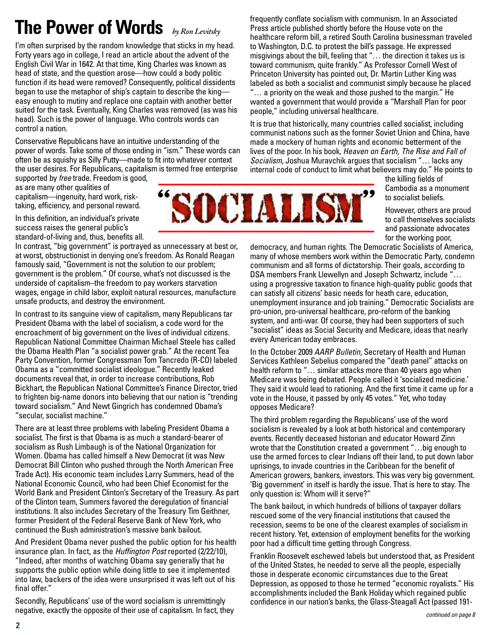# **The Power of Words** *by Ron Levitsky*

I'm often surprised by the random knowledge that sticks in my head. Forty years ago in college, I read an article about the advent of the English Civil War in 1642. At that time, King Charles was known as head of state, and the question arose—how could a body politic function if its head were removed? Consequently, political dissidents began to use the metaphor of ship's captain to describe the king easy enough to mutiny and replace one captain with another better suited for the task. Eventually, King Charles was removed (as was his head). Such is the power of language. Who controls words can control a nation.

Conservative Republicans have an intuitive understanding of the power of words. Take some of those ending in "ism." These words can often be as squishy as Silly Putty—made to fit into whatever context the user desires. For Republicans, capitalism is termed free enterprise

supported by *free* trade. Freedom is good, as are many other qualities of capitalism—ingenuity, hard work, risktaking, efficiency, and personal reward.

In this definition, an individual's private success raises the general public's standard-of-living and, thus, benefits all.

In contrast, "big government" is portrayed as unnecessary at best or, at worst, obstructionist in denying one's freedom. As Ronald Reagan famously said, "Government is not the solution to our problem; government is the problem." Of course, what's not discussed is the underside of capitalism–the freedom to pay workers starvation wages, engage in child labor, exploit natural resources, manufacture unsafe products, and destroy the environment.

In contrast to its sanguine view of capitalism, many Republicans tar President Obama with the label of socialism, a code word for the encroachment of big government on the lives of individual citizens. Republican National Committee Chairman Michael Steele has called the Obama Health Plan "a socialist power grab." At the recent Tea Party Convention, former Congressman Tom Tancredo (R-CO) labeled Obama as a "committed socialist ideologue." Recently leaked documents reveal that, in order to increase contributions, Rob Bickhart, the Republican National Committee's Finance Director, tried to frighten big-name donors into believing that our nation is "trending toward socialism." And Newt Gingrich has condemned Obama's "secular, socialist machine."

There are at least three problems with labeling President Obama a socialist. The first is that Obama is as much a standard-bearer of socialism as Rush Limbaugh is of the National Organization for Women. Obama has called himself a New Democrat (it was New Democrat Bill Clinton who pushed through the North American Free Trade Act). His economic team includes Larry Summers, head of the National Economic Council, who had been Chief Economist for the World Bank and President Clinton's Secretary of the Treasury. As part of the Clinton team, Summers favored the deregulation of financial institutions. It also includes Secretary of the Treasury Tim Geithner, former President of the Federal Reserve Bank of New York, who continued the Bush administration's massive bank bailout.

And President Obama never pushed the public option for his health insurance plan. In fact, as the *Huffington Post* reported (2/22/10), "Indeed, after months of watching Obama say generally that he supports the public option while doing little to see it implemented into law, backers of the idea were unsurprised it was left out of his final offer."

Secondly, Republicans' use of the word socialism is unremittingly negative, exactly the opposite of their use of capitalism. In fact, they

frequently conflate socialism with communism. In an Associated Press article published shortly before the House vote on the healthcare reform bill, a retired South Carolina businessman traveled to Washington, D.C. to protest the bill's passage. He expressed misgivings about the bill, feeling that "… the direction it takes us is toward communism, quite frankly." As Professor Cornell West of Princeton University has pointed out, Dr. Martin Luther King was labeled as both a socialist and communist simply because he placed "… a priority on the weak and those pushed to the margin." He wanted a government that would provide a "Marshall Plan for poor people," including universal healthcare.

It is true that historically, many countries called socialist, including communist nations such as the former Soviet Union and China, have made a mockery of human rights and economic betterment of the lives of the poor. In his book, *Heaven on Earth, The Rise and Fall of Socialism*, Joshua Muravchik argues that socialism "… lacks any internal code of conduct to limit what believers may do." He points to

the killing fields of Cambodia as a monument to socialist beliefs.

However, others are proud to call themselves socialists and passionate advocates for the working poor,

democracy, and human rights. The Democratic Socialists of America, many of whose members work within the Democratic Party, condemn communism and all forms of dictatorship. Their goals, according to DSA members Frank Llewellyn and Joseph Schwartz, include "… using a progressive taxation to finance high-quality public goods that can satisfy all citizens' basic needs for heath care, education, unemployment insurance and job training." Democratic Socialists are pro-union, pro-universal healthcare, pro-reform of the banking system, and anti-war. Of course, they had been supporters of such "socialist" ideas as Social Security and Medicare, ideas that nearly every American today embraces.

In the October 2009 *AARP Bulletin*, Secretary of Health and Human Services Kathleen Sebelius compared the "death panel" attacks on health reform to "… similar attacks more than 40 years ago when Medicare was being debated. People called it 'socialized medicine.' They said it would lead to rationing. And the first time it came up for a vote in the House, it passed by only 45 votes." Yet, who today opposes Medicare?

The third problem regarding the Republicans' use of the word socialism is revealed by a look at both historical and contemporary events. Recently deceased historian and educator Howard Zinn wrote that the Constitution created a government "…big enough to use the armed forces to clear Indians off their land, to put down labor uprisings, to invade countries in the Caribbean for the benefit of American growers, bankers, investors. This was very big government. 'Big government' in itself is hardly the issue. That is here to stay. The only question is: Whom will it serve?"

The bank bailout, in which hundreds of billions of taxpayer dollars rescued some of the very financial institutions that caused the recession, seems to be one of the clearest examples of socialism in recent history. Yet, extension of employment benefits for the working poor had a difficult time getting through Congress.

Franklin Roosevelt eschewed labels but understood that, as President of the United States, he needed to serve all the people, especially those in desperate economic circumstances due to the Great Depression, as opposed to those he termed "economic royalists." His accomplishments included the Bank Holiday which regained public confidence in our nation's banks, the Glass-Steagall Act (passed 191-

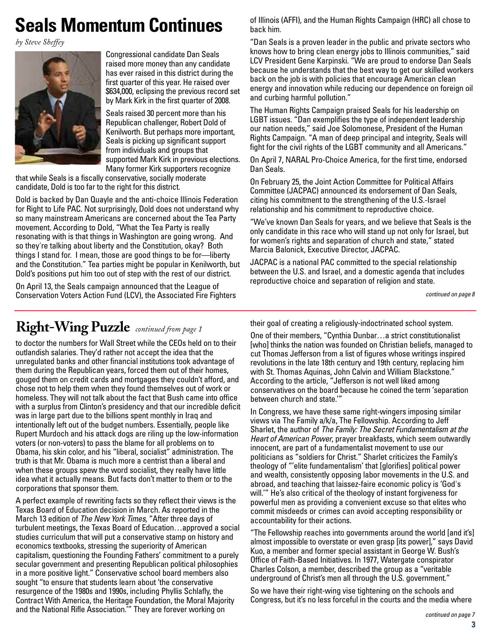### **Seals Momentum Continues**

*by Steve Sheffey*



Congressional candidate Dan Seals raised more money than any candidate has ever raised in this district during the first quarter of this year. He raised over \$634,000, eclipsing the previous record set by Mark Kirk in the first quarter of 2008.

Seals raised 30 percent more than his Republican challenger, Robert Dold of Kenilworth. But perhaps more important, Seals is picking up significant support from individuals and groups that supported Mark Kirk in previous elections. Many former Kirk supporters recognize

that while Seals is a fiscally conservative, socially moderate candidate, Dold is too far to the right for this district.

Dold is backed by Dan Quayle and the anti-choice Illinois Federation for Right to Life PAC. Not surprisingly, Dold does not understand why so many mainstream Americans are concerned about the Tea Party movement. According to Dold, "What the Tea Party is really resonating with is that things in Washington are going wrong. And so they're talking about liberty and the Constitution, okay? Both things I stand for. I mean, those are good things to be for—liberty and the Constitution." Tea parties might be popular in Kenilworth, but Dold's positions put him too out of step with the rest of our district.

On April 13, the Seals campaign announced that the League of Conservation Voters Action Fund (LCV), the Associated Fire Fighters

**Right-Wing Puzzle** *continued from page 1*

to doctor the numbers for Wall Street while the CEOs held on to their outlandish salaries. They'd rather not accept the idea that the unregulated banks and other financial institutions took advantage of them during the Republican years, forced them out of their homes, gouged them on credit cards and mortgages they couldn't afford, and chose not to help them when they found themselves out of work or homeless. They will not talk about the fact that Bush came into office with a surplus from Clinton's presidency and that our incredible deficit was in large part due to the billions spent monthly in Iraq and intentionally left out of the budget numbers. Essentially, people like Rupert Murdoch and his attack dogs are riling up the low-information voters (or non-voters) to pass the blame for all problems on to Obama, his skin color, and his "liberal, socialist" administration. The truth is that Mr. Obama is much more a centrist than a liberal and when these groups spew the word socialist, they really have little idea what it actually means. But facts don't matter to them or to the corporations that sponsor them.

A perfect example of rewriting facts so they reflect their views is the Texas Board of Education decision in March. As reported in the March 13 edition of *The New York Times*, "After three days of turbulent meetings, the Texas Board of Education…approved a social studies curriculum that will put a conservative stamp on history and economics textbooks, stressing the superiority of American capitalism, questioning the Founding Fathers' commitment to a purely secular government and presenting Republican political philosophies in a more positive light." Conservative school board members also sought "to ensure that students learn about 'the conservative resurgence of the 1980s and 1990s, including Phyllis Schlafly, the Contract With America, the Heritage Foundation, the Moral Majority and the National Rifle Association.'" They are forever working on

of Illinois (AFFI), and the Human Rights Campaign (HRC) all chose to back him.

"Dan Seals is a proven leader in the public and private sectors who knows how to bring clean energy jobs to Illinois communities," said LCV President Gene Karpinski. "We are proud to endorse Dan Seals because he understands that the best way to get our skilled workers back on the job is with policies that encourage American clean energy and innovation while reducing our dependence on foreign oil and curbing harmful pollution."

The Human Rights Campaign praised Seals for his leadership on LGBT issues. "Dan exemplifies the type of independent leadership our nation needs," said Joe Solomonese, President of the Human Rights Campaign. "A man of deep principal and integrity, Seals will fight for the civil rights of the LGBT community and all Americans."

On April 7, NARAL Pro-Choice America, for the first time, endorsed Dan Seals.

On February 25, the Joint Action Committee for Political Affairs Committee (JACPAC) announced its endorsement of Dan Seals, citing his commitment to the strengthening of the U.S.-Israel relationship and his commitment to reproductive choice.

"We've known Dan Seals for years, and we believe that Seals is the only candidate in this race who will stand up not only for Israel, but for women's rights and separation of church and state," stated Marcia Balonick, Executive Director, JACPAC.

JACPAC is a national PAC committed to the special relationship between the U.S. and Israel, and a domestic agenda that includes reproductive choice and separation of religion and state.

*continued on page 8*

their goal of creating a religiously-indoctrinated school system.

One of their members, "Cynthia Dunbar…a strict constitutionalist [who] thinks the nation was founded on Christian beliefs, managed to cut Thomas Jefferson from a list of figures whose writings inspired revolutions in the late 18th century and 19th century, replacing him with St. Thomas Aquinas, John Calvin and William Blackstone." According to the article, "Jefferson is not well liked among conservatives on the board because he coined the term 'separation between church and state.'"

In Congress, we have these same right-wingers imposing similar views via The Family a/k/a, The Fellowship. According to Jeff Sharlet, the author of *The Family: The Secret Fundamentalism at the Heart of American Power*, prayer breakfasts, which seem outwardly innocent, are part of a fundamentalist movement to use our politicians as "soldiers for Christ." Sharlet criticizes the Family's theology of "'elite fundamentalism' that [glorifies] political power and wealth, consistently opposing labor movements in the U.S. and abroad, and teaching that laissez-faire economic policy is 'God's will.'" He's also critical of the theology of instant forgiveness for powerful men as providing a convenient excuse so that elites who commit misdeeds or crimes can avoid accepting responsibility or accountability for their actions.

"The Fellowship reaches into governments around the world [and it's] almost impossible to overstate or even grasp [its power]," says David Kuo, a member and former special assistant in George W. Bush's Office of Faith-Based Initiatives. In 1977, Watergate conspirator Charles Colson, a member, described the group as a "veritable underground of Christ's men all through the U.S. government."

So we have their right-wing vise tightening on the schools and Congress, but it's no less forceful in the courts and the media where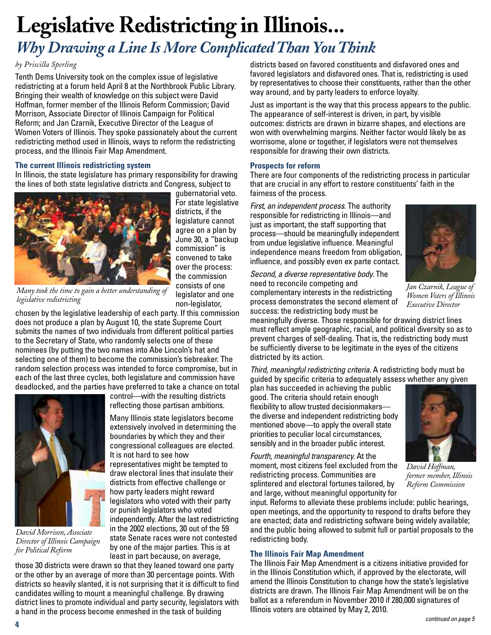# **Legislative Redistricting in Illinois...**

### *Why Drawing a Line Is More Complicated Than You Think*

#### *by Priscilla Sperling*

Tenth Dems University took on the complex issue of legislative redistricting at a forum held April 8 at the Northbrook Public Library. Bringing their wealth of knowledge on this subject were David Hoffman, former member of the Illinois Reform Commission; David Morrison, Associate Director of Illinois Campaign for Political Reform; and Jan Czarnik, Executive Director of the League of Women Voters of Illinois. They spoke passionately about the current redistricting method used in Illinois, ways to reform the redistricting process, and the Illinois Fair Map Amendment.

#### **The current Illinois redistricting system**

In Illinois, the state legislature has primary responsibility for drawing the lines of both state legislative districts and Congress, subject to



gubernatorial veto. For state legislative districts, if the legislature cannot agree on a plan by June 30, a "backup commission" is convened to take over the process: the commission consists of one legislator and one non-legislator,

*Many took the time to gain a better understanding of legislative redistricting*

chosen by the legislative leadership of each party. If this commission does not produce a plan by August 10, the state Supreme Court submits the names of two individuals from different political parties to the Secretary of State, who randomly selects one of these nominees (by putting the two names into Abe Lincoln's hat and selecting one of them) to become the commission's tiebreaker. The random selection process was intended to force compromise, but in each of the last three cycles, both legislature and commission have deadlocked, and the parties have preferred to take a chance on total



*David Morrison, Associate Director of Illinois Campaign for Political Reform*

control—with the resulting districts reflecting those partisan ambitions.

Many Illinois state legislators become extensively involved in determining the boundaries by which they and their congressional colleagues are elected. It is not hard to see how representatives might be tempted to draw electoral lines that insulate their districts from effective challenge or how party leaders might reward legislators who voted with their party or punish legislators who voted independently. After the last redistricting in the 2002 elections, 30 out of the 59 state Senate races were not contested by one of the major parties. This is at least in part because, on average,

those 30 districts were drawn so that they leaned toward one party or the other by an average of more than 30 percentage points. With districts so heavily slanted, it is not surprising that it is difficult to find candidates willing to mount a meaningful challenge. By drawing district lines to promote individual and party security, legislators with a hand in the process become enmeshed in the task of building

districts based on favored constituents and disfavored ones and favored legislators and disfavored ones. That is, redistricting is used by representatives to choose their constituents, rather than the other way around, and by party leaders to enforce loyalty.

Just as important is the way that this process appears to the public. The appearance of self-interest is driven, in part, by visible outcomes: districts are drawn in bizarre shapes, and elections are won with overwhelming margins. Neither factor would likely be as worrisome, alone or together, if legislators were not themselves responsible for drawing their own districts.

#### **Prospects for reform**

There are four components of the redistricting process in particular that are crucial in any effort to restore constituents' faith in the fairness of the process.

*First, an independent process.* The authority responsible for redistricting in Illinois—and just as important, the staff supporting that process—should be meaningfully independent from undue legislative influence. Meaningful independence means freedom from obligation, influence, and possibly even ex parte contact.



*Jan Czarnik, League of Women Voters of Illinois Executive Director*

*Second, a diverse representative body.* The need to reconcile competing and complementary interests in the redistricting process demonstrates the second element of success: the redistricting body must be

meaningfully diverse. Those responsible for drawing district lines must reflect ample geographic, racial, and political diversity so as to prevent charges of self-dealing. That is, the redistricting body must be sufficiently diverse to be legitimate in the eyes of the citizens districted by its action.

*Third, meaningful redistricting criteria.* A redistricting body must be guided by specific criteria to adequately assess whether any given

plan has succeeded in achieving the public good. The criteria should retain enough flexibility to allow trusted decisionmakers the diverse and independent redistricting body mentioned above—to apply the overall state priorities to peculiar local circumstances, sensibly and in the broader public interest.

*Fourth, meaningful transparency.* At the moment, most citizens feel excluded from the redistricting process. Communities are splintered and electoral fortunes tailored, by and large, without meaningful opportunity for

input. Reforms to alleviate these problems include: public hearings, open meetings, and the opportunity to respond to drafts before they are enacted; data and redistricting software being widely available; and the public being allowed to submit full or partial proposals to the redistricting body.

#### **The Illinois Fair Map Amendment**

The Illinois Fair Map Amendment is a citizens initiative provided for in the Illinois Constitution which, if approved by the electorate, will amend the Illinois Constitution to change how the state's legislative districts are drawn. The Illinois Fair Map Amendment will be on the ballot as a referendum in November 2010 if 280,000 signatures of Illinois voters are obtained by May 2, 2010.



*David Hoffman, former member, Illinois Reform Commission*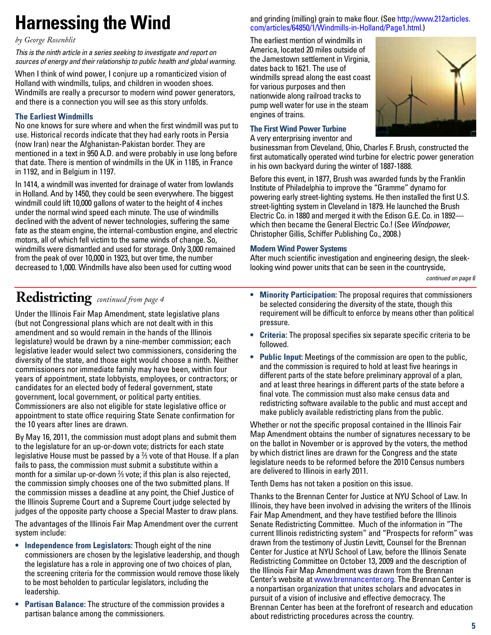# **Harnessing the Wind**

#### *by George Rosenblit*

*This is the ninth article in a series seeking to investigate and report on sources of energy and their relationship to public health and global warming.*

When I think of wind power, I conjure up a romanticized vision of Holland with windmills, tulips, and children in wooden shoes. Windmills are really a precursor to modern wind power generators, and there is a connection you will see as this story unfolds.

### **The Earliest Windmills**

No one knows for sure where and when the first windmill was put to use. Historical records indicate that they had early roots in Persia (now Iran) near the Afghanistan-Pakistan border. They are mentioned in a text in 950 A.D. and were probably in use long before that date. There is mention of windmills in the UK in 1185, in France in 1192, and in Belgium in 1197.

In 1414, a windmill was invented for drainage of water from lowlands in Holland. And by 1450, they could be seen everywhere. The biggest windmill could lift 10,000 gallons of water to the height of 4 inches under the normal wind speed each minute. The use of windmills declined with the advent of newer technologies, suffering the same fate as the steam engine, the internal-combustion engine, and electric motors, all of which fell victim to the same winds of change. So, windmills were dismantled and used for storage. Only 3,000 remained from the peak of over 10,000 in 1923, but over time, the number decreased to 1,000. Windmills have also been used for cutting wood

### **Redistricting** *continued from page 4*

Under the Illinois Fair Map Amendment, state legislative plans (but not Congressional plans which are not dealt with in this amendment and so would remain in the hands of the Illinois legislature) would be drawn by a nine-member commission; each legislative leader would select two commissioners, considering the diversity of the state, and those eight would choose a ninth. Neither commissioners nor immediate family may have been, within four years of appointment, state lobbyists, employees, or contractors; or candidates for an elected body of federal government, state government, local government, or political party entities. Commissioners are also not eligible for state legislative office or appointment to state office requiring State Senate confirmation for the 10 years after lines are drawn.

By May 16, 2011, the commission must adopt plans and submit them to the legislature for an up-or-down vote; districts for each state legislative House must be passed by a <sup>2</sup> vote of that House. If a plan fails to pass, the commission must submit a substitute within a month for a similar up-or-down <sup>2</sup>/<sub>3</sub> vote; if this plan is also rejected, the commission simply chooses one of the two submitted plans. If the commission misses a deadline at any point, the Chief Justice of the Illinois Supreme Court and a Supreme Court judge selected by judges of the opposite party choose a Special Master to draw plans.

The advantages of the Illinois Fair Map Amendment over the current system include:

- **• Independence from Legislators:** Though eight of the nine commissioners are chosen by the legislative leadership, and though the legislature has a role in approving one of two choices of plan, the screening criteria for the commission would remove those likely to be most beholden to particular legislators, including the leadership.
- **Partisan Balance:** The structure of the commission provides a partisan balance among the commissioners.

and grinding (milling) grain to make flour. (See [http://www.212articles.](http://www.212articles.com/articles/64850/1/Windmills-in-Holland/Page1.html) [com/articles/64850/1/Windmills-in-Holland/Page1.html.\)](http://www.212articles.com/articles/64850/1/Windmills-in-Holland/Page1.html)

The earliest mention of windmills in America, located 20 miles outside of the Jamestown settlement in Virginia, dates back to 1621. The use of windmills spread along the east coast for various purposes and then nationwide along railroad tracks to pump well water for use in the steam engines of trains.

### **The First Wind Power Turbine**

A very enterprising inventor and

businessman from Cleveland, Ohio, Charles F. Brush, constructed the first automatically operated wind turbine for electric power generation in his own backyard during the winter of 1887-1888.

Before this event, in 1877, Brush was awarded funds by the Franklin Institute of Philadelphia to improve the "Gramme" dynamo for powering early street-lighting systems. He then installed the first U.S. street-lighting system in Cleveland in 1879. He launched the Brush Electric Co. in 1880 and merged it with the Edison G.E. Co. in 1892 which then became the General Electric Co.! (See *Windpower*, Christopher Gillis, Schiffer Publishing Co., 2008.)

#### **Modern Wind Power Systems**

After much scientific investigation and engineering design, the sleeklooking wind power units that can be seen in the countryside,

*continued on page 6*

- **• Minority Participation:** The proposal requires that commissioners be selected considering the diversity of the state, though this requirement will be difficult to enforce by means other than political pressure.
- **• Criteria:** The proposal specifies six separate specific criteria to be followed.
- **Public Input:** Meetings of the commission are open to the public, and the commission is required to hold at least five hearings in different parts of the state before preliminary approval of a plan, and at least three hearings in different parts of the state before a final vote. The commission must also make census data and redistricting software available to the public and must accept and make publicly available redistricting plans from the public.

Whether or not the specific proposal contained in the Illinois Fair Map Amendment obtains the number of signatures necessary to be on the ballot in November or is approved by the voters, the method by which district lines are drawn for the Congress and the state legislature needs to be reformed before the 2010 Census numbers are delivered to Illinois in early 2011.

Tenth Dems has not taken a position on this issue.

Thanks to the Brennan Center for Justice at NYU School of Law. In Illinois, they have been involved in advising the writers of the Illinois Fair Map Amendment, and they have testified before the Illinois Senate Redistricting Committee. Much of the information in "The current Illinois redistricting system" and "Prospects for reform" was drawn from the testimony of Justin Levitt, Counsel for the Brennan Center for Justice at NYU School of Law, before the Illinois Senate Redistricting Committee on October 13, 2009 and the description of the Illinois Fair Map Amendment was drawn from the Brennan Center's website at [www.brennancenter.org.](http://www.brennancenter.org) The Brennan Center is a nonpartisan organization that unites scholars and advocates in pursuit of a vision of inclusive and effective democracy. The Brennan Center has been at the forefront of research and education about redistricting procedures across the country.

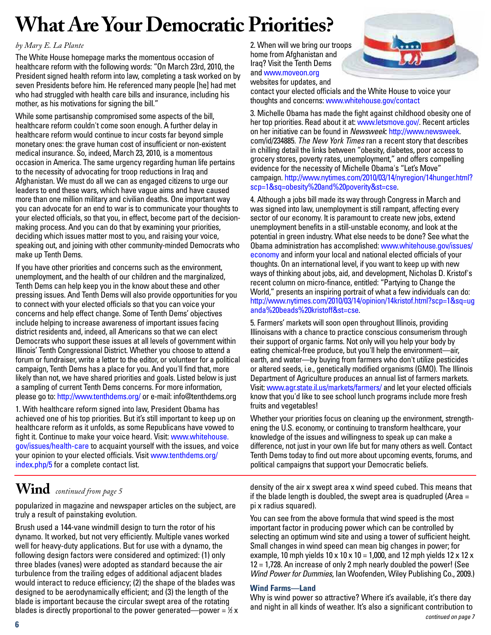# **What Are Your Democratic Priorities?**

#### *by Mary E. La Plante*

The White House homepage marks the momentous occasion of healthcare reform with the following words: "On March 23rd, 2010, the President signed health reform into law, completing a task worked on by seven Presidents before him. He referenced many people [he] had met who had struggled with health care bills and insurance, including his mother, as his motivations for signing the bill."

While some partisanship compromised some aspects of the bill, healthcare reform couldn't come soon enough. A further delay in healthcare reform would continue to incur costs far beyond simple monetary ones: the grave human cost of insufficient or non-existent medical insurance. So, indeed, March 23, 2010, is a momentous occasion in America. The same urgency regarding human life pertains to the necessity of advocating for troop reductions in Iraq and Afghanistan. We must do all we can as engaged citizens to urge our leaders to end these wars, which have vague aims and have caused more than one million military and civilian deaths. One important way you can advocate for an end to war is to communicate your thoughts to your elected officials, so that you, in effect, become part of the decisionmaking process. And you can do that by examining your priorities, deciding which issues matter most to you, and raising your voice, speaking out, and joining with other community-minded Democrats who make up Tenth Dems.

If you have other priorities and concerns such as the environment, unemployment, and the health of our children and the marginalized, Tenth Dems can help keep you in the know about these and other pressing issues. And Tenth Dems will also provide opportunities for you to connect with your elected officials so that you can voice your concerns and help effect change. Some of Tenth Dems' objectives include helping to increase awareness of important issues facing district residents and, indeed, all Americans so that we can elect Democrats who support these issues at all levels of government within Illinois' Tenth Congressional District. Whether you choose to attend a forum or fundraiser, write a letter to the editor, or volunteer for a political campaign, Tenth Dems has a place for you. And you'll find that, more likely than not, we have shared priorities and goals. Listed below is just a sampling of current Tenth Dems concerns. For more information, please go to: [http://www.tenthdems.org/](http://www.tenthdems.org) or e-mail: [info@tenthdems.org](mailto:info@tenthdems.org) 

1. With healthcare reform signed into law, President Obama has achieved one of his top priorities. But it's still important to keep up on healthcare reform as it unfolds, as some Republicans have vowed to fight it. Continue to make your voice heard. Visit: [www.whitehouse.](http://www.whitehouse/gov/issues/health-care) [gov/issues/health-care](http://www.whitehouse/gov/issues/health-care) to acquaint yourself with the issues, and voice your opinion to your elected officials. Visit [www.tenthdems.org/](http://www.tenthdems.org/index.php/5) index.php/5 for a complete contact list.

### **Wind** *continued from page 5*

popularized in magazine and newspaper articles on the subject, are truly a result of painstaking evolution.

Brush used a 144-vane windmill design to turn the rotor of his dynamo. It worked, but not very efficiently. Multiple vanes worked well for heavy-duty applications. But for use with a dynamo, the following design factors were considered and optimized: (1) only three blades (vanes) were adopted as standard because the air turbulence from the trailing edges of additional adjacent blades would interact to reduce efficiency; (2) the shape of the blades was designed to be aerodynamically efficient; and (3) the length of the blade is important because the circular swept area of the rotating blades is directly proportional to the power generated—power =  $\frac{1}{2}x$  2. When will we bring our troops home from Afghanistan and Iraq? Visit the Tenth Dems and [www.moveon.org](http://www.moveon.org) websites for updates, and



contact your elected officials and the White House to voice your thoughts and concerns: [www.whitehouse.gov/contact](http://www.whitehouse.gov/contact)

3. Michelle Obama has made the fight against childhood obesity one of her top priorities. Read about it at: [www.letsmove.gov/. Re](http://www.letsmove.gov)cent articles on her initiative can be found in *Newsweek*: [http://www.newsweek.](http://www.newsweek) com/id/234885. *The New York Times* ran a recent story that describes in chilling detail the links between "obesity, diabetes, poor access to grocery stores, poverty rates, unemployment," and offers compelling evidence for the necessity of Michelle Obama's "Let's Move" campaign. [http://www.nytimes.com/2010/03/14/nyregion/14hunger.html?](http://www.nytimes.com/2010/03/14/nyregion/14hunger.html?scp=1&sq=obesity%20and%20poverity&st=cse) [scp=1&sq=obesity%20and%20poverity&st=cse.](http://www.nytimes.com/2010/03/14/nyregion/14hunger.html?scp=1&sq=obesity%20and%20poverity&st=cse)

4. Although a jobs bill made its way through Congress in March and was signed into law, unemployment is still rampant, affecting every sector of our economy. It is paramount to create new jobs, extend unemployment benefits in a still-unstable economy, and look at the potential in green industry. What else needs to be done? See what the Obama administration has accomplished: [www.whitehouse.gov/issues/](http://www.whitehouse.gov/issues/economy) economy and inform your local and national elected officials of your thoughts. On an international level, if you want to keep up with new ways of thinking about jobs, aid, and development, Nicholas D. Kristof's recent column on micro-finance, entitled: "Partying to Change the World," presents an inspiring portrait of what a few individuals can do: [http://www.nytimes.com/2010/03/14/opinion/14kristof.html?scp=1&sq=ug](http://www.nytimes.com/2010/03/14/opinion/14kristof.html?scp=1&sq=uganda%20beads%20kristoff&st=cse) [anda%20beads%20kristoff&st=cse.](http://www.nytimes.com/2010/03/14/opinion/14kristof.html?scp=1&sq=uganda%20beads%20kristoff&st=cse)

5. Farmers' markets will soon open throughout Illinois, providing Illinoisans with a chance to practice conscious consumerism through their support of organic farms. Not only will you help your body by eating chemical-free produce, but you'll help the environment—air, earth, and water—by buying from farmers who don't utilize pesticides or altered seeds, i.e., genetically modified organisms (GMO). The Illinois Department of Agriculture produces an annual list of farmers markets. Visit: [www.agr.state.il.us/markets/farmers/](http://www.agr.state.il.us/markets/farmers) and let your elected officials know that you'd like to see school lunch programs include more fresh fruits and vegetables!

Whether your priorities focus on cleaning up the environment, strengthening the U.S. economy, or continuing to transform healthcare, your knowledge of the issues and willingness to speak up can make a difference, not just in your own life but for many others as well. Contact Tenth Dems today to find out more about upcoming events, forums, and political campaigns that support your Democratic beliefs.

density of the air x swept area x wind speed cubed. This means that if the blade length is doubled, the swept area is quadrupled (Area  $=$ pi x radius squared).

You can see from the above formula that wind speed is the most important factor in producing power which can be controlled by selecting an optimum wind site and using a tower of sufficient height. Small changes in wind speed can mean big changes in power; for example, 10 mph yields 10 x 10 x 10 = 1,000, and 12 mph yields 12 x 12 x 12 = 1,728. An increase of only 2 mph nearly doubled the power! (See *Wind Power for Dummies*, Ian Woofenden, Wiley Publishing Co., 2009.)

#### **Wind Farms—Land**

Why is wind power so attractive? Where it's available, it's there day and night in all kinds of weather. It's also a significant contribution to *continued on page 7*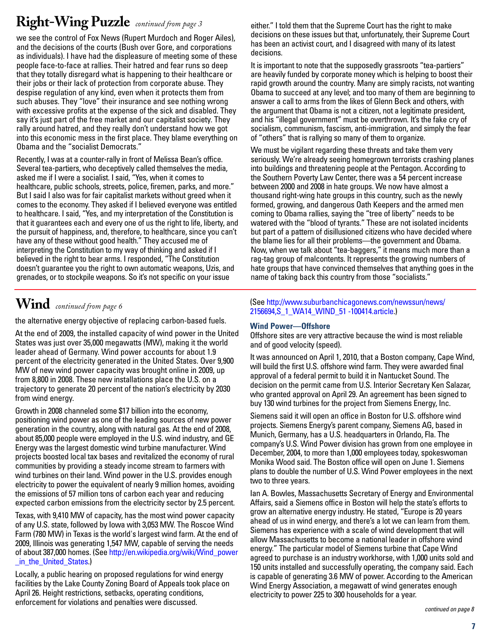### **Right-Wing Puzzle** *continued from page 3*

we see the control of Fox News (Rupert Murdoch and Roger Ailes), and the decisions of the courts (Bush over Gore, and corporations as individuals). I have had the displeasure of meeting some of these people face-to-face at rallies. Their hatred and fear runs so deep that they totally disregard what is happening to their healthcare or their jobs or their lack of protection from corporate abuse. They despise regulation of any kind, even when it protects them from such abuses. They "love" their insurance and see nothing wrong with excessive profits at the expense of the sick and disabled. They say it's just part of the free market and our capitalist society. They rally around hatred, and they really don't understand how we got into this economic mess in the first place. They blame everything on Obama and the "socialist Democrats."

Recently, I was at a counter-rally in front of Melissa Bean's office. Several tea-partiers, who deceptively called themselves the media, asked me if I were a socialist. I said, "Yes, when it comes to healthcare, public schools, streets, police, firemen, parks, and more." But I said I also was for fair capitalist markets without greed when it comes to the economy. They asked if I believed everyone was entitled to healthcare. I said, "Yes, and my interpretation of the Constitution is that it guarantees each and every one of us the right to life, liberty, and the pursuit of happiness, and, therefore, to healthcare, since you can't have any of these without good health." They accused me of interpreting the Constitution to my way of thinking and asked if I believed in the right to bear arms. I responded, "The Constitution doesn't guarantee you the right to own automatic weapons, Uzis, and grenades, or to stockpile weapons. So it's not specific on your issue

### **Wind** *continued from page 6*

the alternative energy objective of replacing carbon-based fuels.

At the end of 2009, the installed capacity of wind power in the United States was just over 35,000 megawatts (MW), making it the world leader ahead of Germany. Wind power accounts for about 1.9 percent of the electricity generated in the United States. Over 9,900 MW of new wind power capacity was brought online in 2009, up from 8,800 in 2008. These new installations place the U.S. on a trajectory to generate 20 percent of the nation's electricity by 2030 from wind energy.

Growth in 2008 channeled some \$17 billion into the economy, positioning wind power as one of the leading sources of new power generation in the country, along with natural gas. At the end of 2008, about 85,000 people were employed in the U.S. wind industry, and GE Energy was the largest domestic wind turbine manufacturer. Wind projects boosted local tax bases and revitalized the economy of rural communities by providing a steady income stream to farmers with wind turbines on their land. Wind power in the U.S. provides enough electricity to power the equivalent of nearly 9 million homes, avoiding the emissions of 57 million tons of carbon each year and reducing expected carbon emissions from the electricity sector by 2.5 percent.

Texas, with 9,410 MW of capacity, has the most wind power capacity of any U.S. state, followed by Iowa with 3,053 MW. The Roscoe Wind Farm (780 MW) in Texas is the world's largest wind farm. At the end of 2009, Illinois was generating 1,547 MW, capable of serving the needs of about 387,000 homes. (See [http://en.wikipedia.org/wiki/Wind\\_power](http://en.wikipedia.org/wiki/Wind_power_in_the_United_States) in the United States.)

Locally, a public hearing on proposed regulations for wind energy facilities by the Lake County Zoning Board of Appeals took place on April 26. Height restrictions, setbacks, operating conditions, enforcement for violations and penalties were discussed.

either." I told them that the Supreme Court has the right to make decisions on these issues but that, unfortunately, their Supreme Court has been an activist court, and I disagreed with many of its latest decisions.

It is important to note that the supposedly grassroots "tea-partiers" are heavily funded by corporate money which is helping to boost their rapid growth around the country. Many are simply racists, not wanting Obama to succeed at any level; and too many of them are beginning to answer a call to arms from the likes of Glenn Beck and others, with the argument that Obama is not a citizen, not a legitimate president, and his "illegal government" must be overthrown. It's the fake cry of socialism, communism, fascism, anti-immigration, and simply the fear of "others" that is rallying so many of them to organize.

We must be vigilant regarding these threats and take them very seriously. We're already seeing homegrown terrorists crashing planes into buildings and threatening people at the Pentagon. According to the Southern Poverty Law Center, there was a 54 percent increase between 2000 and 2008 in hate groups. We now have almost a thousand right-wing hate groups in this country, such as the newly formed, growing, and dangerous Oath Keepers and the armed men coming to Obama rallies, saying the "tree of liberty" needs to be watered with the "blood of tyrants." These are not isolated incidents but part of a pattern of disillusioned citizens who have decided where the blame lies for all their problems—the government and Obama. Now, when we talk about "tea-baggers," it means much more than a rag-tag group of malcontents. It represents the growing numbers of hate groups that have convinced themselves that anything goes in the name of taking back this country from those "socialists."

(See [http://www.suburbanchicagonews.com/newssun/news/](http://www.suburbanchicagonews.com/newssun/news/2156694,S_1_WA14_WIND_51 -100414.article) 2156694, S 1 WA14 WIND 51 -100414.article.)

#### **Wind Power—Offshore**

Offshore sites are very attractive because the wind is most reliable and of good velocity (speed).

It was announced on April 1, 2010, that a Boston company, Cape Wind, will build the first U.S. offshore wind farm. They were awarded final approval of a federal permit to build it in Nantucket Sound. The decision on the permit came from U.S. Interior Secretary Ken Salazar, who granted approval on April 29. An agreement has been signed to buy 130 wind turbines for the project from Siemens Energy, Inc.

Siemens said it will open an office in Boston for U.S. offshore wind projects. Siemens Energy's parent company, Siemens AG, based in Munich, Germany, has a U.S. headquarters in Orlando, Fla. The company's U.S. Wind Power division has grown from one employee in December, 2004, to more than 1,000 employees today, spokeswoman Monika Wood said. The Boston office will open on June 1. Siemens plans to double the number of U.S. Wind Power employees in the next two to three years.

Ian A. Bowles, Massachusetts Secretary of Energy and Environmental Affairs, said a Siemens office in Boston will help the state's efforts to grow an alternative energy industry. He stated, "Europe is 20 years ahead of us in wind energy, and there's a lot we can learn from them. Siemens has experience with a scale of wind development that will allow Massachusetts to become a national leader in offshore wind energy." The particular model of Siemens turbine that Cape Wind agreed to purchase is an industry workhorse, with 1,000 units sold and 150 units installed and successfully operating, the company said. Each is capable of generating 3.6 MW of power. According to the American Wind Energy Association, a megawatt of wind generates enough electricity to power 225 to 300 households for a year.